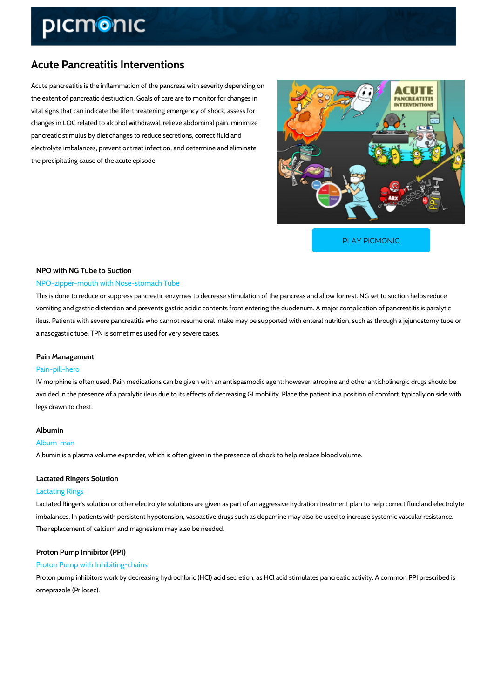# Acute Pancreatitis Interventions

Acute pancreatitis is the inflammation of the pancreas with severity depending on the extent of pancreatic destruction. Goals of care are to monitor for changes in vital signs that can indicate the life-threatening emergency of shock, assess for changes in LOC related to alcohol withdrawal, relieve abdominal pain, minimize pancreatic stimulus by diet changes to reduce secretions, correct fluid and electrolyte imbalances, prevent or treat infection, and determine and eliminate the precipitating cause of the acute episode.

[PLAY PICMONIC](https://www.picmonic.com/learn/acute-pancreatitis-interventions_1872?utm_source=downloadable_content&utm_medium=distributedcontent&utm_campaign=pathways_pdf&utm_content=Acute Pancreatitis Interventions&utm_ad_group=leads&utm_market=all)

# NPO with NG Tube to Suction NPO-zipper-mouth with Nose-stomach Tube

This is done to reduce or suppress pancreatic enzymes to decrease stimulation of the pancrea vomiting and gastric distention and prevents gastric acidic contents from entering the duoden ileus. Patients with severe pancreatitis who cannot resume oral intake may be supported with a nasogastric tube. TPN is sometimes used for very severe cases.

#### Pain Management

#### Pain-pill-hero

IV morphine is often used. Pain medications can be given with an antispasmodic agent; howev avoided in the presence of a paralytic ileus due to its effects of decreasing GI mobility. Place legs drawn to chest.

#### Albumin

#### Album-man

Albumin is a plasma volume expander, which is often given in the presence of shock to help re

#### Lactated Ringers Solution

#### Lactating Rings

Lactated Ringer s solution or other electrolyte solutions are given as part of an aggressive hy imbalances. In patients with persistent hypotension, vasoactive drugs such as dopamine may a The replacement of calcium and magnesium may also be needed.

#### Proton Pump Inhibitor (PPI)

#### Proton Pump with Inhibiting-chains

Proton pump inhibitors work by decreasing hydrochloric (HCl) acid secretion, as HCl acid stim omeprazole (Prilosec).